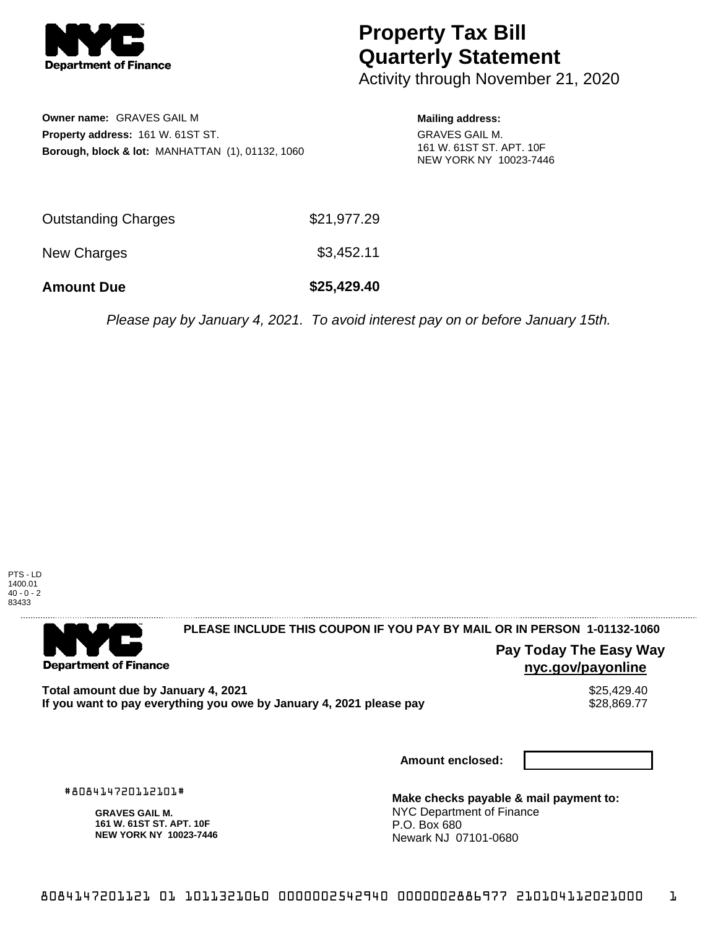

## **Property Tax Bill Quarterly Statement**

Activity through November 21, 2020

**Owner name:** GRAVES GAIL M **Property address:** 161 W. 61ST ST. **Borough, block & lot:** MANHATTAN (1), 01132, 1060

**Mailing address:** GRAVES GAIL M. 161 W. 61ST ST. APT. 10F NEW YORK NY 10023-7446

| <b>Amount Due</b>          | \$25,429.40 |
|----------------------------|-------------|
| New Charges                | \$3,452.11  |
| <b>Outstanding Charges</b> | \$21,977.29 |

Please pay by January 4, 2021. To avoid interest pay on or before January 15th.



. . . . . . . . . . . . . . . .

# **Department of Finance**

#### **PLEASE INCLUDE THIS COUPON IF YOU PAY BY MAIL OR IN PERSON 1-01132-1060**

**Pay Today The Easy Way nyc.gov/payonline**

Total amount due by January 4, 2021<br>If you want to pay everything you owe by January 4, 2021 please pay **same and the same of the seasure of the s** If you want to pay everything you owe by January 4, 2021 please pay

**Amount enclosed:**

#808414720112101#

**GRAVES GAIL M. 161 W. 61ST ST. APT. 10F NEW YORK NY 10023-7446**

**Make checks payable & mail payment to:** NYC Department of Finance P.O. Box 680 Newark NJ 07101-0680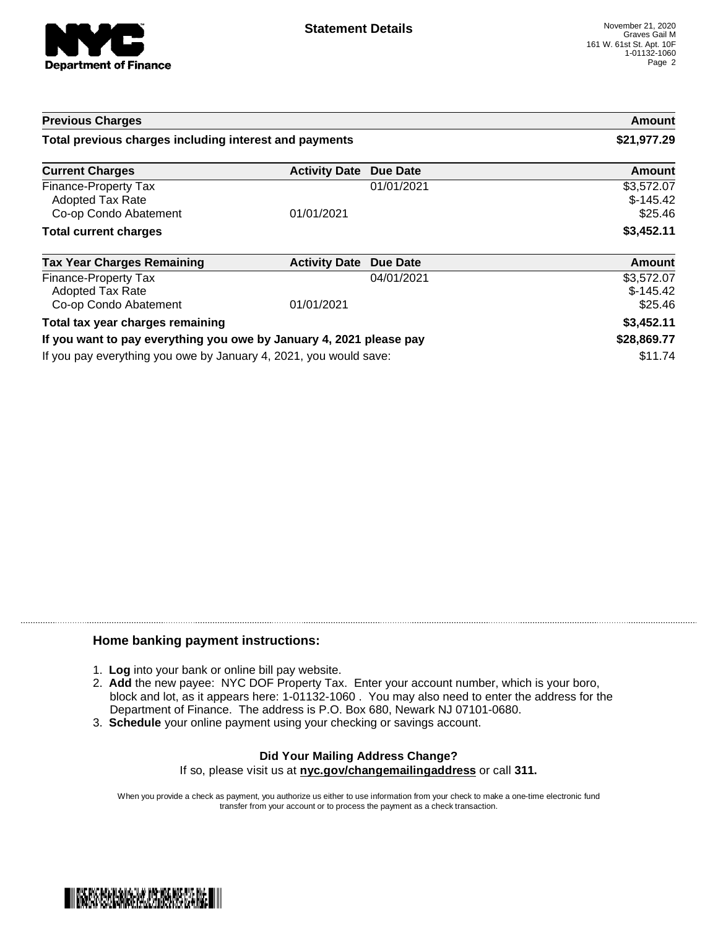

| <b>Previous Charges</b>                                                  |                      |            | Amount                              |
|--------------------------------------------------------------------------|----------------------|------------|-------------------------------------|
| Total previous charges including interest and payments                   |                      |            | \$21,977.29                         |
| <b>Current Charges</b>                                                   | <b>Activity Date</b> | Due Date   | Amount                              |
| Finance-Property Tax<br><b>Adopted Tax Rate</b><br>Co-op Condo Abatement | 01/01/2021           | 01/01/2021 | \$3,572.07<br>$$-145.42$<br>\$25.46 |
| <b>Total current charges</b>                                             |                      |            | \$3,452.11                          |
| <b>Tax Year Charges Remaining</b>                                        | <b>Activity Date</b> | Due Date   | <b>Amount</b>                       |
| Finance-Property Tax<br><b>Adopted Tax Rate</b><br>Co-op Condo Abatement | 01/01/2021           | 04/01/2021 | \$3,572.07<br>$$-145.42$<br>\$25.46 |
| Total tax year charges remaining                                         |                      |            | \$3,452.11                          |
| If you want to pay everything you owe by January 4, 2021 please pay      |                      |            | \$28,869.77                         |
| If you pay everything you owe by January 4, 2021, you would save:        |                      | \$11.74    |                                     |

### **Home banking payment instructions:**

- 1. **Log** into your bank or online bill pay website.
- 2. **Add** the new payee: NYC DOF Property Tax. Enter your account number, which is your boro, block and lot, as it appears here: 1-01132-1060 . You may also need to enter the address for the Department of Finance. The address is P.O. Box 680, Newark NJ 07101-0680.
- 3. **Schedule** your online payment using your checking or savings account.

#### **Did Your Mailing Address Change?** If so, please visit us at **nyc.gov/changemailingaddress** or call **311.**

When you provide a check as payment, you authorize us either to use information from your check to make a one-time electronic fund transfer from your account or to process the payment as a check transaction.